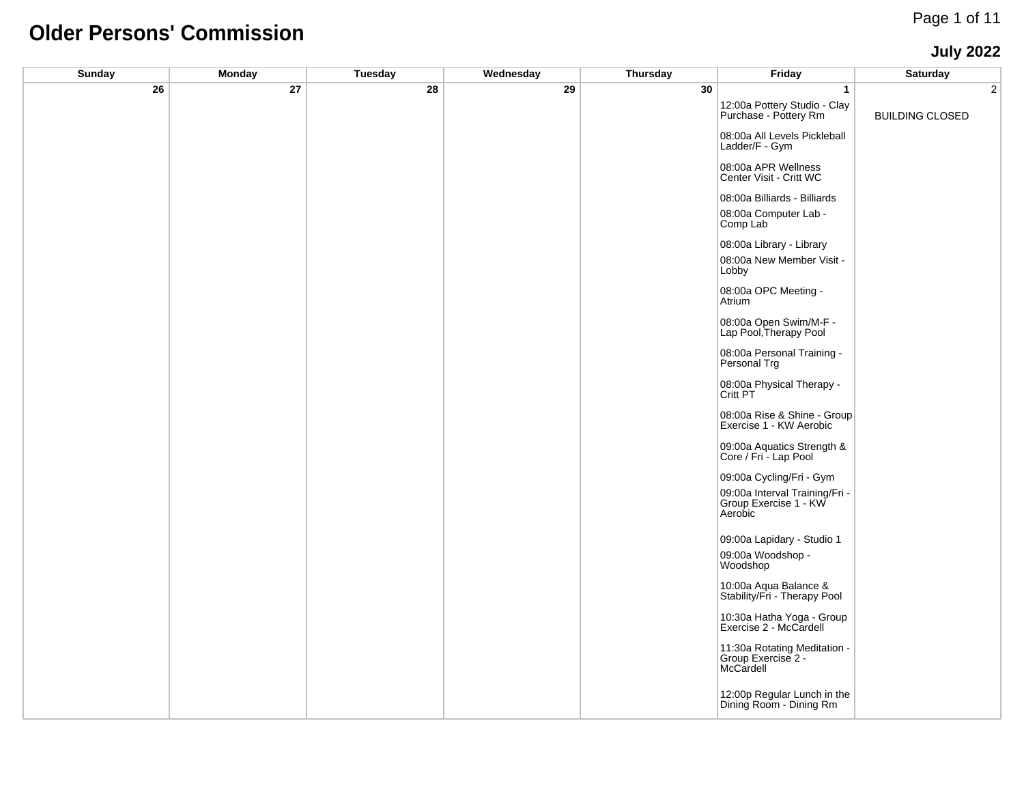# **Older Persons' Commission**

#### **July 2022**

| <b>Sunday</b> | <b>Monday</b> | <b>Tuesday</b> | Wednesday | <b>Thursday</b> | Friday                                                             | <b>Saturday</b>        |
|---------------|---------------|----------------|-----------|-----------------|--------------------------------------------------------------------|------------------------|
| 26            | 27            | 28             | 29        | 30              | $\overline{1}$                                                     | $\overline{2}$         |
|               |               |                |           |                 | 12:00a Pottery Studio - Clay<br>Purchase - Pottery Rm              | <b>BUILDING CLOSED</b> |
|               |               |                |           |                 | 08:00a All Levels Pickleball<br>Ladder/F - Gym                     |                        |
|               |               |                |           |                 | 08:00a APR Wellness<br>Center Visit - Critt WC                     |                        |
|               |               |                |           |                 | 08:00a Billiards - Billiards                                       |                        |
|               |               |                |           |                 | 08:00a Computer Lab -<br>Comp Lab                                  |                        |
|               |               |                |           |                 | 08:00a Library - Library                                           |                        |
|               |               |                |           |                 | 08:00a New Member Visit -<br>Lobby                                 |                        |
|               |               |                |           |                 | 08:00a OPC Meeting -<br>Atrium                                     |                        |
|               |               |                |           |                 | 08:00a Open Swim/M-F -<br>Lap Pool, Therapy Pool                   |                        |
|               |               |                |           |                 | 08:00a Personal Training -<br>Personal Trg                         |                        |
|               |               |                |           |                 | 08:00a Physical Therapy -<br>Critt PT                              |                        |
|               |               |                |           |                 | 08:00a Rise & Shine - Group<br>Exercise 1 - KW Aerobic             |                        |
|               |               |                |           |                 | 09:00a Aquatics Strength &<br>Core / Fri - Lap Pool                |                        |
|               |               |                |           |                 | 09:00a Cycling/Fri - Gym                                           |                        |
|               |               |                |           |                 | 09:00a Interval Training/Fri -<br>Group Exercise 1 - KW<br>Aerobic |                        |
|               |               |                |           |                 | 09:00a Lapidary - Studio 1                                         |                        |
|               |               |                |           |                 | 09:00a Woodshop -<br>Woodshop                                      |                        |
|               |               |                |           |                 | 10:00a Aqua Balance &<br>Stability/Fri - Therapy Pool              |                        |
|               |               |                |           |                 | 10:30a Hatha Yoga - Group<br>Exercise 2 - McCardell                |                        |
|               |               |                |           |                 | 11:30a Rotating Meditation -<br>Group Exercise 2 -<br>McCardell    |                        |
|               |               |                |           |                 | 12:00p Regular Lunch in the<br>Dining Room - Dining Rm             |                        |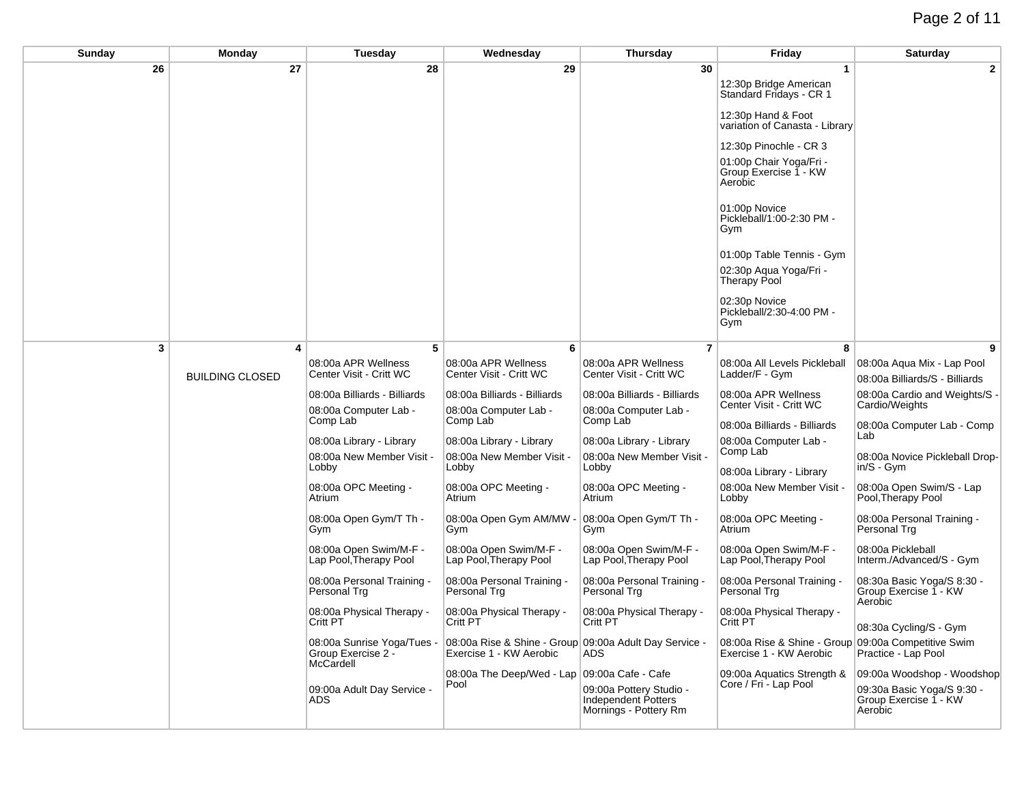## Page 2 of 11

| Sunday | Monday                 | Tuesday                                                       | Wednesday                                                                         | Thursday                                                                       | Friday                                                                         | Saturday                                                       |
|--------|------------------------|---------------------------------------------------------------|-----------------------------------------------------------------------------------|--------------------------------------------------------------------------------|--------------------------------------------------------------------------------|----------------------------------------------------------------|
| 26     | 27                     | 28                                                            | 29                                                                                | 30                                                                             | $\mathbf 1$                                                                    | $\mathbf{2}$                                                   |
|        |                        |                                                               |                                                                                   |                                                                                | 12:30p Bridge American<br>Standard Fridays - CR 1                              |                                                                |
|        |                        |                                                               |                                                                                   |                                                                                | 12:30p Hand & Foot<br>variation of Canasta - Library                           |                                                                |
|        |                        |                                                               |                                                                                   |                                                                                | 12:30p Pinochle - CR 3                                                         |                                                                |
|        |                        |                                                               |                                                                                   |                                                                                | 01:00p Chair Yoga/Fri -<br>Group Exercise 1 - KW<br>Aerobic                    |                                                                |
|        |                        |                                                               |                                                                                   |                                                                                | 01:00p Novice<br>Pickleball/1:00-2:30 PM -<br>Gym                              |                                                                |
|        |                        |                                                               |                                                                                   |                                                                                | 01:00p Table Tennis - Gym                                                      |                                                                |
|        |                        |                                                               |                                                                                   |                                                                                | 02:30p Aqua Yoga/Fri -<br><b>Therapy Pool</b>                                  |                                                                |
|        |                        |                                                               |                                                                                   |                                                                                | 02:30p Novice<br>Pickleball/2:30-4:00 PM -<br>Gym                              |                                                                |
| 3      | 4                      | 5                                                             | 6                                                                                 | $\overline{7}$                                                                 | 8                                                                              |                                                                |
|        | <b>BUILDING CLOSED</b> | 08:00a APR Wellness<br>Center Visit - Critt WC                | 08:00a APR Wellness<br>Center Visit - Critt WC                                    | 08:00a APR Wellness<br>Center Visit - Critt WC                                 | 08:00a All Levels Pickleball<br>Ladder/F - Gym                                 | 08:00a Aqua Mix - Lap Pool<br>08:00a Billiards/S - Billiards   |
|        |                        | 08:00a Billiards - Billiards                                  | 08:00a Billiards - Billiards                                                      | 08:00a Billiards - Billiards                                                   | 08:00a APR Wellness                                                            | 08:00a Cardio and Weights/S -                                  |
|        |                        | 08:00a Computer Lab -                                         | 08:00a Computer Lab -                                                             | 08:00a Computer Lab -                                                          | Center Visit - Critt WC                                                        | Cardio/Weights                                                 |
|        |                        | Comp Lab                                                      | Comp Lab                                                                          | Comp Lab                                                                       | 08:00a Billiards - Billiards                                                   | 08:00a Computer Lab - Comp                                     |
|        |                        | 08:00a Library - Library                                      | 08:00a Library - Library                                                          | 08:00a Library - Library                                                       | 08:00a Computer Lab -<br>Comp Lab                                              | Lab                                                            |
|        |                        | 08:00a New Member Visit -<br>Lobby                            | 08:00a New Member Visit -<br>Lobby                                                | 08:00a New Member Visit -<br>Lobby                                             | 08:00a Library - Library                                                       | 08:00a Novice Pickleball Drop-<br>in/S - Gym                   |
|        |                        | 08:00a OPC Meeting -<br>Atrium                                | 08:00a OPC Meeting -<br>Atrium                                                    | 08:00a OPC Meeting -<br>Atrium                                                 | 08:00a New Member Visit -<br>Lobby                                             | 08:00a Open Swim/S - Lap<br>Pool, Therapy Pool                 |
|        |                        | 08:00a Open Gym/T Th -<br>Gym                                 | 08:00a Open Gym AM/MW -<br>Gym                                                    | 08:00a Open Gym/T Th -<br>Gym                                                  | 08:00a OPC Meeting -<br>Atrium                                                 | 08:00a Personal Training -<br>Personal Trg                     |
|        |                        | 08:00a Open Swim/M-F -<br>Lap Pool, Therapy Pool              | 08:00a Open Swim/M-F -<br>Lap Pool, Therapy Pool                                  | 08:00a Open Swim/M-F -<br>Lap Pool, Therapy Pool                               | 08:00a Open Swim/M-F -<br>Lap Pool, Therapy Pool                               | 08:00a Pickleball<br>Interm./Advanced/S - Gym                  |
|        |                        | 08:00a Personal Training -<br>Personal Trg                    | 08:00a Personal Training -<br>Personal Trg                                        | 08:00a Personal Training -<br>Personal Trg                                     | 08:00a Personal Training -<br>Personal Trg                                     | 08:30a Basic Yoga/S 8:30 -<br>Group Exercise 1 - KW            |
|        |                        | 08:00a Physical Therapy -<br>Critt PT                         | 08:00a Physical Therapy -<br>Critt PT                                             | 08:00a Physical Therapy -<br>Critt PT                                          | 08:00a Physical Therapy -<br>Critt PT                                          | Aerobic<br>08:30a Cycling/S - Gym                              |
|        |                        | 08:00a Sunrise Yoga/Tues -<br>Group Exercise 2 -<br>McCardell | 08:00a Rise & Shine - Group 09:00a Adult Day Service -<br>Exercise 1 - KW Aerobic | ADS.                                                                           | 08:00a Rise & Shine - Group 09:00a Competitive Swim<br>Exercise 1 - KW Aerobic | Practice - Lap Pool                                            |
|        |                        |                                                               | 08:00a The Deep/Wed - Lap 09:00a Cafe - Cafe                                      |                                                                                | 09:00a Aquatics Strength &                                                     | 09:00a Woodshop - Woodshop                                     |
|        |                        | 09:00a Adult Day Service -<br>ADS                             | Pool                                                                              | 09:00a Pottery Studio -<br><b>Independent Potters</b><br>Mornings - Pottery Rm | Core / Fri - Lap Pool                                                          | 09:30a Basic Yoga/S 9:30 -<br>Group Exercise 1 - KW<br>Aerobic |
|        |                        |                                                               |                                                                                   |                                                                                |                                                                                |                                                                |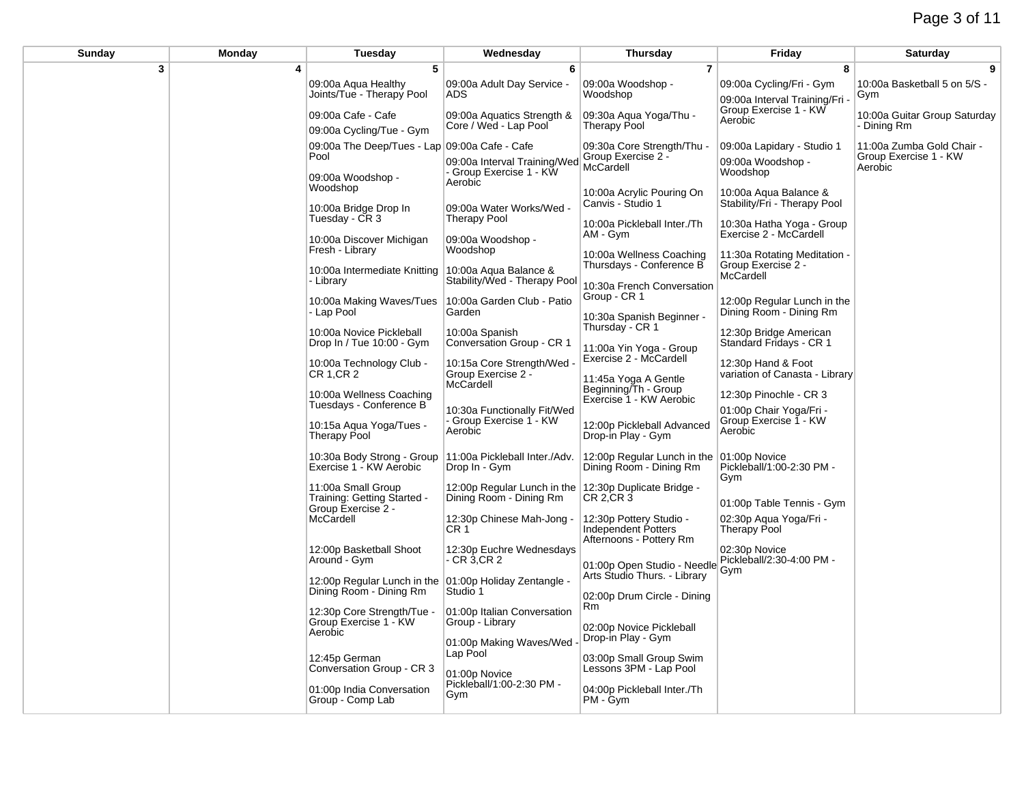| Sunday | Monday | <b>Tuesday</b>                                                          | Wednesday                                                                        | <b>Thursday</b>                                                           | Friday                                                          | Saturday                                           |
|--------|--------|-------------------------------------------------------------------------|----------------------------------------------------------------------------------|---------------------------------------------------------------------------|-----------------------------------------------------------------|----------------------------------------------------|
| 3      | 4      | 5                                                                       | 6                                                                                | $\overline{7}$                                                            | 8                                                               | 9                                                  |
|        |        | 09:00a Agua Healthy<br>Joints/Tue - Therapy Pool                        | 09:00a Adult Day Service -<br>ADS                                                | 09:00a Woodshop -<br>Woodshop                                             | 09:00a Cycling/Fri - Gym<br>09:00a Interval Training/Fri        | 10:00a Basketball 5 on 5/S -<br>Gym                |
|        |        | 09:00a Cafe - Cafe                                                      | 09:00a Aquatics Strength &                                                       | 09:30a Aqua Yoga/Thu -                                                    | Group Exercise 1 - KW<br>Aerobic                                | 10:00a Guitar Group Saturday                       |
|        |        | 09:00a Cycling/Tue - Gym                                                | Core / Wed - Lap Pool                                                            | <b>Therapy Pool</b>                                                       |                                                                 | - Dining Rm                                        |
|        |        | 09:00a The Deep/Tues - Lap 09:00a Cafe - Cafe<br>Pool                   | 09:00a Interval Training/Wed                                                     | 09:30a Core Strength/Thu -<br>Group Exercise 2 -                          | 09:00a Lapidary - Studio 1<br>09:00a Woodshop -                 | 11:00a Zumba Gold Chair -<br>Group Exercise 1 - KW |
|        |        | 09:00a Woodshop -<br>Woodshop                                           | - Group Exercise 1 - KW<br>Aerobic                                               | McCardell<br>10:00a Acrylic Pouring On                                    | Woodshop<br>10:00a Aqua Balance &                               | Aerobic                                            |
|        |        | 10:00a Bridge Drop In<br>Tuesday - CR 3                                 | 09:00a Water Works/Wed -<br><b>Therapy Pool</b>                                  | Canvis - Studio 1<br>10:00a Pickleball Inter./Th                          | Stability/Fri - Therapy Pool<br>10:30a Hatha Yoga - Group       |                                                    |
|        |        | 10:00a Discover Michigan<br>Fresh - Library                             | 09:00a Woodshop -<br>Woodshop                                                    | AM - Gym                                                                  | Exercise 2 - McCardell                                          |                                                    |
|        |        | 10:00a Intermediate Knitting 10:00a Aqua Balance &<br>- Library         | Stability/Wed - Therapy Pool                                                     | 10:00a Wellness Coaching<br>Thursdays - Conference B                      | 11:30a Rotating Meditation -<br>Group Exercise 2 -<br>McCardell |                                                    |
|        |        | 10:00a Making Waves/Tues<br>- Lap Pool                                  | 10:00a Garden Club - Patio<br>Garden                                             | 10:30a French Conversation<br>Group - CR 1                                | 12:00p Regular Lunch in the<br>Dining Room - Dining Rm          |                                                    |
|        |        | 10:00a Novice Pickleball<br>Drop In / Tue 10:00 - Gym                   | 10:00a Spanish<br>Conversation Group - CR 1                                      | 10:30a Spanish Beginner -<br>Thursday - CR 1                              | 12:30p Bridge American<br>Standard Fridays - CR 1               |                                                    |
|        |        | 10:00a Technology Club -<br>CR 1, CR 2                                  | 10:15a Core Strength/Wed<br>Group Exercise 2 -                                   | 11:00a Yin Yoga - Group<br>Exercise 2 - McCardell                         | 12:30p Hand & Foot<br>variation of Canasta - Library            |                                                    |
|        |        | 10:00a Wellness Coaching<br>Tuesdays - Conference B                     | McCardell                                                                        | 11:45a Yoga A Gentle<br>Beginning/Th - Group<br>Exercise 1 - KW Aerobic   | 12:30p Pinochle - CR 3<br>01:00p Chair Yoga/Fri -               |                                                    |
|        |        | 10:15a Aqua Yoga/Tues -<br><b>Therapy Pool</b>                          | 10:30a Functionally Fit/Wed<br>Group Exercise 1 - KW<br>Aerobic                  | 12:00p Pickleball Advanced<br>Drop-in Play - Gym                          | Group Exercise 1 - KW<br>Aerobic                                |                                                    |
|        |        | 10:30a Body Strong - Group<br>Exercise 1 - KW Aerobic                   | 11:00a Pickleball Inter./Adv.<br>Drop In - Gym                                   | 12:00p Regular Lunch in the<br>Dining Room - Dining Rm                    | 01:00p Novice<br>Pickleball/1:00-2:30 PM -<br>Gym               |                                                    |
|        |        | 11:00a Small Group<br>Training: Getting Started -<br>Group Exercise 2 - | 12:00p Regular Lunch in the 12:30p Duplicate Bridge -<br>Dining Room - Dining Rm | CR 2,CR 3                                                                 | 01:00p Table Tennis - Gym                                       |                                                    |
|        |        | McCardell                                                               | 12:30p Chinese Mah-Jong -<br>CR 1                                                | 12:30p Pottery Studio -<br>Independent Potters<br>Afternoons - Pottery Rm | 02:30p Aqua Yoga/Fri -<br><b>Therapy Pool</b>                   |                                                    |
|        |        | 12:00p Basketball Shoot<br>Around - Gym                                 | 12:30p Euchre Wednesdays<br>- CR 3,CR 2                                          | 01:00p Open Studio - Needle                                               | 02:30p Novice<br>Pickleball/2:30-4:00 PM -<br>Gym               |                                                    |
|        |        | 12:00p Regular Lunch in the<br>Dining Room - Dining Rm                  | 01:00p Holiday Zentangle -<br>Studio 1                                           | Arts Studio Thurs. - Library<br>02:00p Drum Circle - Dining               |                                                                 |                                                    |
|        |        | 12:30p Core Strength/Tue -<br>Group Exercise 1 - KW<br>Aerobic          | 01:00p Italian Conversation<br>Group - Library                                   | Rm<br>02:00p Novice Pickleball                                            |                                                                 |                                                    |
|        |        | 12:45p German                                                           | 01:00p Making Waves/Wed<br>Lap Pool                                              | Drop-in Play - Gym<br>03:00p Small Group Swim                             |                                                                 |                                                    |
|        |        | Conversation Group - CR 3                                               | 01:00p Novice<br>Pickleball/1:00-2:30 PM -                                       | Lessons 3PM - Lap Pool                                                    |                                                                 |                                                    |
|        |        | 01:00p India Conversation<br>Group - Comp Lab                           | Gym                                                                              | 04:00p Pickleball Inter./Th<br>PM - Gym                                   |                                                                 |                                                    |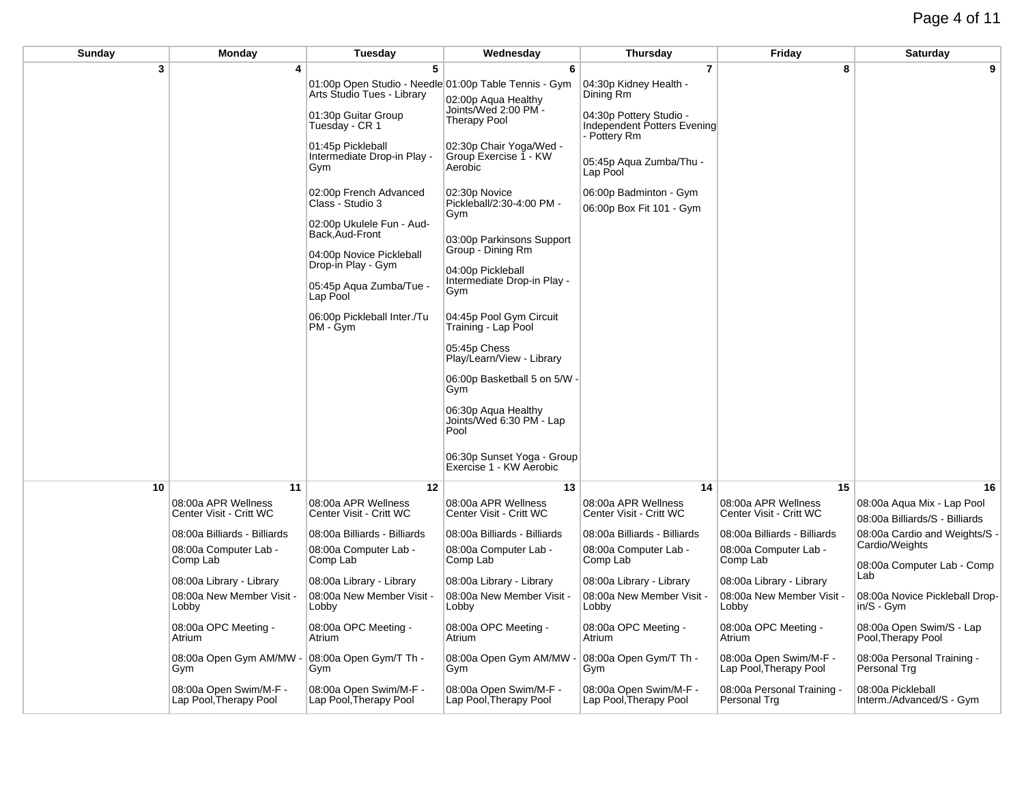| Sunday | Monday                                           | <b>Tuesday</b>                                                                                                                                                                                                                                                                                                                                                                                                                 | Wednesday                                                                                                                                                                                                                                                                                                                                                                                                                                                                                                                                                          | Thursday                                                                                                                                                                                                                     | Friday                                           | Saturday                                                     |
|--------|--------------------------------------------------|--------------------------------------------------------------------------------------------------------------------------------------------------------------------------------------------------------------------------------------------------------------------------------------------------------------------------------------------------------------------------------------------------------------------------------|--------------------------------------------------------------------------------------------------------------------------------------------------------------------------------------------------------------------------------------------------------------------------------------------------------------------------------------------------------------------------------------------------------------------------------------------------------------------------------------------------------------------------------------------------------------------|------------------------------------------------------------------------------------------------------------------------------------------------------------------------------------------------------------------------------|--------------------------------------------------|--------------------------------------------------------------|
| 3      |                                                  | 5<br>01:00p Open Studio - Needle 01:00p Table Tennis - Gym<br>Arts Studio Tues - Library<br>01:30p Guitar Group<br>Tuesday - CR 1<br>01:45p Pickleball<br>Intermediate Drop-in Play -<br>Gym<br>02:00p French Advanced<br>Class - Studio 3<br>02:00p Ukulele Fun - Aud-<br>Back, Aud-Front<br>04:00p Novice Pickleball<br>Drop-in Play - Gym<br>05:45p Aqua Zumba/Tue -<br>Lap Pool<br>06:00p Pickleball Inter./Tu<br>PM - Gym | 6<br>02:00p Aqua Healthy<br>Joints/Wed 2:00 PM -<br><b>Therapy Pool</b><br>02:30p Chair Yoga/Wed -<br>Group Exercise 1 - KW<br>Aerobic<br>02:30p Novice<br>Pickleball/2:30-4:00 PM -<br>Gym<br>03:00p Parkinsons Support<br>Group - Dining Rm<br>04:00p Pickleball<br>Intermediate Drop-in Play -<br>Gym<br>04:45p Pool Gym Circuit<br>Training - Lap Pool<br>05:45p Chess<br>Play/Learn/View - Library<br>06:00p Basketball 5 on 5/W -<br>Gym<br>06:30p Aqua Healthy<br>Joints/Wed 6:30 PM - Lap<br>Pool<br>06:30p Sunset Yoga - Group<br>Exercise 1 - KW Aerobic | $\overline{7}$<br>04:30p Kidney Health -<br>Dining Rm<br>04:30p Pottery Studio -<br>Independent Potters Evening<br>- Pottery Rm<br>05:45p Aqua Zumba/Thu -<br>Lap Pool<br>06:00p Badminton - Gym<br>06:00p Box Fit 101 - Gym | 8                                                | 9                                                            |
| 10     | 11                                               | 12                                                                                                                                                                                                                                                                                                                                                                                                                             | 13                                                                                                                                                                                                                                                                                                                                                                                                                                                                                                                                                                 | 14                                                                                                                                                                                                                           | 15                                               | 16                                                           |
|        | 08:00a APR Wellness<br>Center Visit - Critt WC   | 08:00a APR Wellness<br>Center Visit - Critt WC                                                                                                                                                                                                                                                                                                                                                                                 | 08:00a APR Wellness<br>Center Visit - Critt WC                                                                                                                                                                                                                                                                                                                                                                                                                                                                                                                     | 08:00a APR Wellness<br>Center Visit - Critt WC                                                                                                                                                                               | 08:00a APR Wellness<br>Center Visit - Critt WC   | 08:00a Aqua Mix - Lap Pool<br>08:00a Billiards/S - Billiards |
|        | 08:00a Billiards - Billiards                     | 08:00a Billiards - Billiards                                                                                                                                                                                                                                                                                                                                                                                                   | 08:00a Billiards - Billiards                                                                                                                                                                                                                                                                                                                                                                                                                                                                                                                                       | 08:00a Billiards - Billiards                                                                                                                                                                                                 | 08:00a Billiards - Billiards                     | 08:00a Cardio and Weights/S -                                |
|        | 08:00a Computer Lab -<br>Comp Lab                | 08:00a Computer Lab -<br>Comp Lab                                                                                                                                                                                                                                                                                                                                                                                              | 08:00a Computer Lab -<br>Comp Lab                                                                                                                                                                                                                                                                                                                                                                                                                                                                                                                                  | 08:00a Computer Lab -<br>Comp Lab                                                                                                                                                                                            | 08:00a Computer Lab -<br>Comp Lab                | Cardio/Weights                                               |
|        | 08:00a Library - Library                         | 08:00a Library - Library                                                                                                                                                                                                                                                                                                                                                                                                       | 08:00a Library - Library                                                                                                                                                                                                                                                                                                                                                                                                                                                                                                                                           | 08:00a Library - Library                                                                                                                                                                                                     | 08:00a Library - Library                         | 08:00a Computer Lab - Comp<br>Lab                            |
|        | 08:00a New Member Visit -                        | 08:00a New Member Visit -                                                                                                                                                                                                                                                                                                                                                                                                      | 08:00a New Member Visit -                                                                                                                                                                                                                                                                                                                                                                                                                                                                                                                                          | 08:00a New Member Visit -                                                                                                                                                                                                    | 08:00a New Member Visit -                        | 08:00a Novice Pickleball Drop-                               |
|        | Lobby                                            | Lobby                                                                                                                                                                                                                                                                                                                                                                                                                          | Lobby                                                                                                                                                                                                                                                                                                                                                                                                                                                                                                                                                              | Lobby                                                                                                                                                                                                                        | Lobby                                            | $in/S - Gvm$                                                 |
|        | 08:00a OPC Meeting -<br>Atrium                   | 08:00a OPC Meeting -<br>Atrium                                                                                                                                                                                                                                                                                                                                                                                                 | 08:00a OPC Meeting -<br>Atrium                                                                                                                                                                                                                                                                                                                                                                                                                                                                                                                                     | 08:00a OPC Meeting -<br>Atrium                                                                                                                                                                                               | 08:00a OPC Meeting -<br>Atrium                   | 08:00a Open Swim/S - Lap<br>Pool, Therapy Pool               |
|        | 08:00a Open Gym AM/MW -<br>Gym                   | 08:00a Open Gym/T Th -<br>Gym                                                                                                                                                                                                                                                                                                                                                                                                  | 08:00a Open Gym AM/MW<br>Gym                                                                                                                                                                                                                                                                                                                                                                                                                                                                                                                                       | 08:00a Open Gym/T Th -<br>Gym                                                                                                                                                                                                | 08:00a Open Swim/M-F -<br>Lap Pool, Therapy Pool | 08:00a Personal Training -<br>Personal Trg                   |
|        | 08:00a Open Swim/M-F -<br>Lap Pool, Therapy Pool | 08:00a Open Swim/M-F -<br>Lap Pool, Therapy Pool                                                                                                                                                                                                                                                                                                                                                                               | 08:00a Open Swim/M-F -<br>Lap Pool, Therapy Pool                                                                                                                                                                                                                                                                                                                                                                                                                                                                                                                   | 08:00a Open Swim/M-F -<br>Lap Pool, Therapy Pool                                                                                                                                                                             | 08:00a Personal Training -<br>Personal Trg       | 08:00a Pickleball<br>Interm./Advanced/S - Gym                |
|        |                                                  |                                                                                                                                                                                                                                                                                                                                                                                                                                |                                                                                                                                                                                                                                                                                                                                                                                                                                                                                                                                                                    |                                                                                                                                                                                                                              |                                                  |                                                              |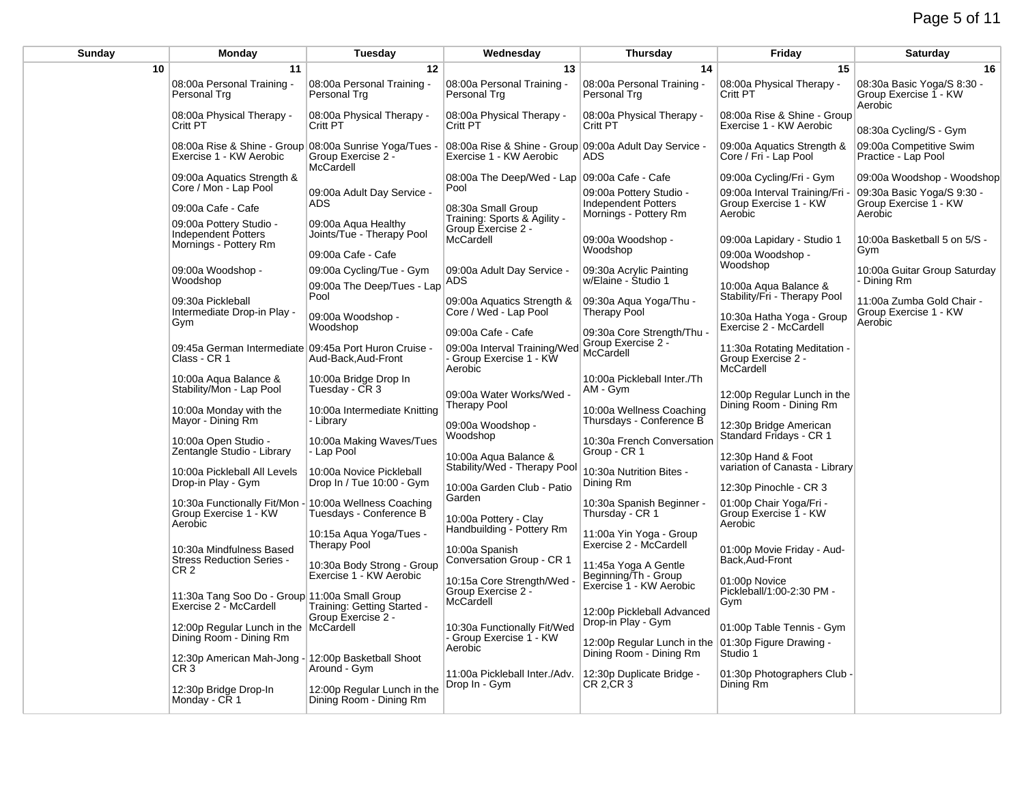| Sunday | Monday                                                                            | Tuesday                                                | Wednesday                                                                         | Thursday                                                                  | Friday                                                           | Saturday                                                       |
|--------|-----------------------------------------------------------------------------------|--------------------------------------------------------|-----------------------------------------------------------------------------------|---------------------------------------------------------------------------|------------------------------------------------------------------|----------------------------------------------------------------|
| 10     | 11                                                                                | 12                                                     | 13                                                                                | 14                                                                        | 15                                                               | 16                                                             |
|        | 08:00a Personal Training -<br>Personal Trg                                        | 08:00a Personal Training -<br>Personal Trg             | 08:00a Personal Training -<br>Personal Trg                                        | 08:00a Personal Training -<br>Personal Trg                                | 08:00a Physical Therapy -<br>Critt PT                            | 08:30a Basic Yoga/S 8:30 -<br>Group Exercise 1 - KW<br>Aerobic |
|        | 08:00a Physical Therapy -<br>Critt PT                                             | 08:00a Physical Therapy -<br>Critt PT                  | 08:00a Physical Therapy -<br>Critt PT                                             | 08:00a Physical Therapy -<br>Critt PT                                     | 08:00a Rise & Shine - Group<br>Exercise 1 - KW Aerobic           | 08:30a Cycling/S - Gym                                         |
|        | 08:00a Rise & Shine - Group 08:00a Sunrise Yoga/Tues -<br>Exercise 1 - KW Aerobic | Group Exercise 2 -<br>McCardell                        | 08:00a Rise & Shine - Group 09:00a Adult Day Service -<br>Exercise 1 - KW Aerobic | ADS                                                                       | 09:00a Aquatics Strength &<br>Core / Fri - Lap Pool              | 09:00a Competitive Swim<br>Practice - Lap Pool                 |
|        | 09:00a Aquatics Strength &                                                        |                                                        | 08:00a The Deep/Wed - Lap 09:00a Cafe - Cafe                                      |                                                                           | 09:00a Cycling/Fri - Gym                                         | 09:00a Woodshop - Woodshop                                     |
|        | Core / Mon - Lap Pool<br>09:00a Cafe - Cafe                                       | 09:00a Adult Day Service -<br><b>ADS</b>               | Pool<br>08:30a Small Group                                                        | 09:00a Pottery Studio -<br>Independent Potters<br>Mornings - Pottery Rm   | 09:00a Interval Training/Fri<br>Group Exercise 1 - KW<br>Aerobic | 09:30a Basic Yoga/S 9:30 -<br>Group Exercise 1 - KW<br>Aerobic |
|        | 09:00a Pottery Studio -<br><b>Independent Potters</b><br>Mornings - Pottery Rm    | 09:00a Agua Healthy<br>Joints/Tue - Therapy Pool       | Training: Sports & Agility -<br>Group Exercise 2 -<br>McCardell                   | 09:00a Woodshop -                                                         | 09:00a Lapidary - Studio 1                                       | 10:00a Basketball 5 on 5/S -                                   |
|        |                                                                                   | 09:00a Cafe - Cafe                                     |                                                                                   | Woodshop                                                                  | 09:00a Woodshop -                                                | Gym                                                            |
|        | 09:00a Woodshop -                                                                 | 09:00a Cycling/Tue - Gym                               | 09:00a Adult Day Service -                                                        | 09:30a Acrylic Painting                                                   | Woodshop                                                         | 10:00a Guitar Group Saturday                                   |
|        | Woodshop                                                                          | 09:00a The Deep/Tues - Lap                             | ADS                                                                               | w/Elaine - Studio 1                                                       | 10:00a Aqua Balance &                                            | - Dining Rm                                                    |
|        | 09:30a Pickleball                                                                 | Pool                                                   | 09:00a Aquatics Strength &                                                        | 09:30a Aqua Yoga/Thu -                                                    | Stability/Fri - Therapy Pool                                     | 11:00a Zumba Gold Chair -                                      |
|        | Intermediate Drop-in Play -<br>Gym                                                | 09:00a Woodshop -                                      | Core / Wed - Lap Pool                                                             | Therapy Pool                                                              | 10:30a Hatha Yoga - Group                                        | Group Exercise 1 - KW<br>Aerobic                               |
|        |                                                                                   | Woodshop                                               | 09:00a Cafe - Cafe                                                                | 09:30a Core Strength/Thu -                                                | Exercise 2 - McCardell                                           |                                                                |
|        | 09:45a German Intermediate 09:45a Port Huron Cruise -<br>Class - CR 1             | Aud-Back, Aud-Front                                    | 09:00a Interval Training/Wed<br>- Group Exercise 1 - KW<br>Aerobic                | Group Exercise 2 -<br>McCardell                                           | 11:30a Rotating Meditation -<br>Group Exercise 2 -<br>McCardell  |                                                                |
|        | 10:00a Aqua Balance &<br>Stability/Mon - Lap Pool                                 | 10:00a Bridge Drop In<br>Tuesday - CR 3                | 09:00a Water Works/Wed -                                                          | 10:00a Pickleball Inter./Th<br>AM - Gym                                   | 12:00p Regular Lunch in the                                      |                                                                |
|        | 10:00a Monday with the<br>Mayor - Dining Rm                                       | 10:00a Intermediate Knitting<br>- Library              | <b>Therapy Pool</b><br>09:00a Woodshop -                                          | 10:00a Wellness Coaching<br>Thursdays - Conference B                      | Dining Room - Dining Rm<br>12:30p Bridge American                |                                                                |
|        | 10:00a Open Studio -<br>Zentangle Studio - Library                                | 10:00a Making Waves/Tues<br>- Lap Pool                 | Woodshop<br>10:00a Aqua Balance &                                                 | 10:30a French Conversation<br>Group - CR 1                                | Standard Fridays - CR 1<br>12:30p Hand & Foot                    |                                                                |
|        | 10:00a Pickleball All Levels<br>Drop-in Play - Gym                                | 10:00a Novice Pickleball<br>Drop In / Tue 10:00 - Gym  | Stability/Wed - Therapy Pool<br>10:00a Garden Club - Patio                        | 10:30a Nutrition Bites -<br>Dining Rm                                     | variation of Canasta - Library<br>12:30p Pinochle - CR 3         |                                                                |
|        | 10:30a Functionally Fit/Mon -<br>Group Exercise 1 - KW<br>Aerobic                 | 10:00a Wellness Coaching<br>Tuesdays - Conference B    | Garden<br>10:00a Pottery - Clay                                                   | 10:30a Spanish Beginner<br>Thursday - CR 1                                | 01:00p Chair Yoga/Fri -<br>Group Exercise 1 - KW<br>Aerobic      |                                                                |
|        | 10:30a Mindfulness Based                                                          | 10:15a Agua Yoga/Tues -<br><b>Therapy Pool</b>         | Handbuilding - Pottery Rm<br>10:00a Spanish                                       | 11:00a Yin Yoga - Group<br>Exercise 2 - McCardell                         | 01:00p Movie Friday - Aud-                                       |                                                                |
|        | <b>Stress Reduction Series -</b><br>CR <sub>2</sub>                               | 10:30a Body Strong - Group<br>Exercise 1 - KW Aerobic  | Conversation Group - CR 1<br>10:15a Core Strength/Wed                             | 11:45a Yoga A Gentle<br>Beginning/Th - Group<br>Exercise 1 - KW Aerobic   | Back, Aud-Front<br>01:00p Novice                                 |                                                                |
|        | 11:30a Tang Soo Do - Group 11:00a Small Group<br>Exercise 2 - McCardell           | Training: Getting Started -<br>Group Exercise 2 -      | Group Exercise 2 -<br>McCardell                                                   | 12:00p Pickleball Advanced                                                | Pickleball/1:00-2:30 PM -<br>Gym                                 |                                                                |
|        | 12:00p Regular Lunch in the McCardell<br>Dining Room - Dining Rm                  |                                                        | 10:30a Functionally Fit/Wed<br>- Group Exercise 1 - KW                            | Drop-in Play - Gym<br>12:00p Regular Lunch in the 01:30p Figure Drawing - | 01:00p Table Tennis - Gym                                        |                                                                |
|        | 12:30p American Mah-Jong -<br>CR <sub>3</sub>                                     | 12:00p Basketball Shoot<br>Around - Gym                | Aerobic<br>11:00a Pickleball Inter./Adv.                                          | Dining Room - Dining Rm<br>12:30p Duplicate Bridge -                      | Studio 1<br>01:30p Photographers Club -                          |                                                                |
|        | 12:30p Bridge Drop-In<br>Monday - CR 1                                            | 12:00p Regular Lunch in the<br>Dining Room - Dining Rm | Drop In - Gym                                                                     | CR 2.CR 3                                                                 | Dining Rm                                                        |                                                                |
|        |                                                                                   |                                                        |                                                                                   |                                                                           |                                                                  |                                                                |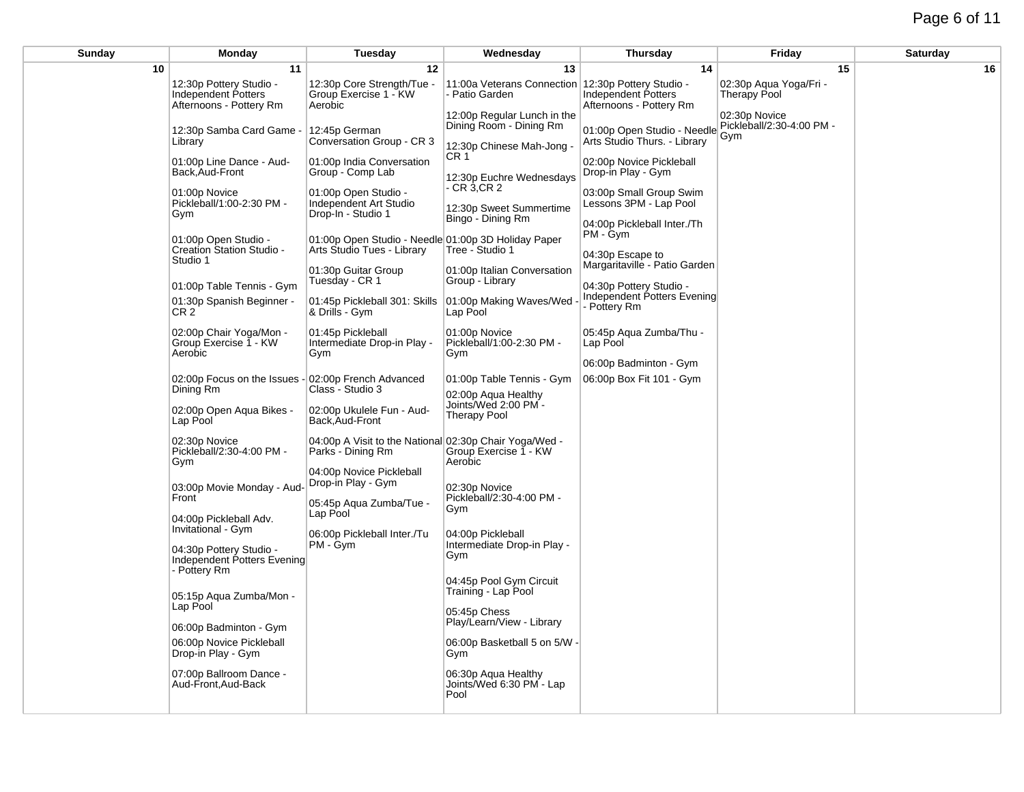# Page 6 of 11

| Sunday | Monday                                                                    | Tuesday                                                                           | Wednesday                                                                           | <b>Thursday</b>                                             | Friday                                            | Saturday |
|--------|---------------------------------------------------------------------------|-----------------------------------------------------------------------------------|-------------------------------------------------------------------------------------|-------------------------------------------------------------|---------------------------------------------------|----------|
| 10     | 11                                                                        | 12                                                                                | 13                                                                                  | 14                                                          | 15                                                | 16       |
|        | 12:30p Pottery Studio -<br>Independent Potters<br>Afternoons - Pottery Rm | 12:30p Core Strength/Tue -<br>Group Exercise 1 - KW<br>Aerobic                    | 11:00a Veterans Connection   12:30p Pottery Studio -<br>- Patio Garden              | Independent Potters<br>Afternoons - Pottery Rm              | 02:30p Agua Yoga/Fri -<br><b>Therapy Pool</b>     |          |
|        | 12:30p Samba Card Game -<br>Library                                       | 12:45p German<br>Conversation Group - CR 3                                        | 12:00p Regular Lunch in the<br>Dining Room - Dining Rm<br>12:30p Chinese Mah-Jong - | 01:00p Open Studio - Needle<br>Arts Studio Thurs. - Library | 02:30p Novice<br>Pickleball/2:30-4:00 PM -<br>Gym |          |
|        | 01:00p Line Dance - Aud-<br>Back, Aud-Front                               | 01:00p India Conversation<br>Group - Comp Lab                                     | CR <sub>1</sub><br>12:30p Euchre Wednesdays                                         | 02:00p Novice Pickleball<br>Drop-in Play - Gym              |                                                   |          |
|        | 01:00p Novice<br>Pickleball/1:00-2:30 PM -<br>Gym                         | 01:00p Open Studio -<br>Independent Art Studio<br>Drop-In - Studio 1              | - CR 3.CR 2<br>12:30p Sweet Summertime<br>Bingo - Dining Rm                         | 03:00p Small Group Swim<br>Lessons 3PM - Lap Pool           |                                                   |          |
|        | 01:00p Open Studio -<br>Creation Station Studio -                         | 01:00p Open Studio - Needle 01:00p 3D Holiday Paper<br>Arts Studio Tues - Library | Tree - Studio 1                                                                     | 04:00p Pickleball Inter./Th<br>PM - Gym                     |                                                   |          |
|        | Studio 1                                                                  | 01:30p Guitar Group<br>Tuesday - CR 1                                             | 01:00p Italian Conversation<br>Group - Library                                      | 04:30p Escape to<br>Margaritaville - Patio Garden           |                                                   |          |
|        | 01:00p Table Tennis - Gym                                                 |                                                                                   |                                                                                     | 04:30p Pottery Studio -<br>Independent Potters Evening      |                                                   |          |
|        | 01:30p Spanish Beginner -<br>CR2                                          | 01:45p Pickleball 301: Skills<br>& Drills - Gym                                   | 01:00p Making Waves/Wed<br>Lap Pool                                                 | Pottery Rm                                                  |                                                   |          |
|        | 02:00p Chair Yoga/Mon -<br>Group Exercise 1 - KW<br>Aerobic               | 01:45p Pickleball<br>Intermediate Drop-in Play -<br>Gym                           | 01:00p Novice<br>Pickleball/1:00-2:30 PM -<br>Gym                                   | 05:45p Aqua Zumba/Thu -<br>Lap Pool                         |                                                   |          |
|        |                                                                           |                                                                                   |                                                                                     | 06:00p Badminton - Gym                                      |                                                   |          |
|        | 02:00p Focus on the Issues -                                              | 02:00p French Advanced                                                            | 01:00p Table Tennis - Gym                                                           | 06:00p Box Fit 101 - Gym                                    |                                                   |          |
|        | Dining Rm                                                                 | Class - Studio 3                                                                  | 02:00p Aqua Healthy                                                                 |                                                             |                                                   |          |
|        | 02:00p Open Aqua Bikes -<br>Lap Pool                                      | 02:00p Ukulele Fun - Aud-<br>Back, Aud-Front                                      | Joints/Wed 2:00 PM -<br><b>Therapy Pool</b>                                         |                                                             |                                                   |          |
|        | 02:30p Novice<br>Pickleball/2:30-4:00 PM -<br>Gym                         | 04:00p A Visit to the National 02:30p Chair Yoga/Wed -<br>Parks - Dining Rm       | Group Exercise 1 - KW<br>Aerobic                                                    |                                                             |                                                   |          |
|        | 03:00p Movie Monday - Aud-<br>Front                                       | 04:00p Novice Pickleball<br>Drop-in Play - Gym                                    | 02:30p Novice<br>Pickleball/2:30-4:00 PM -                                          |                                                             |                                                   |          |
|        | 04:00p Pickleball Adv.<br><b>Invitational - Gym</b>                       | 05:45p Aqua Zumba/Tue -<br>Lap Pool                                               | Gym                                                                                 |                                                             |                                                   |          |
|        | 04:30p Pottery Studio -<br>Independent Potters Evening<br>- Pottery Rm    | 06:00p Pickleball Inter./Tu<br>PM - Gym                                           | 04:00p Pickleball<br>Intermediate Drop-in Play -<br>Gym                             |                                                             |                                                   |          |
|        | 05:15p Aqua Zumba/Mon -<br>Lap Pool                                       |                                                                                   | 04:45p Pool Gym Circuit<br>Training - Lap Pool                                      |                                                             |                                                   |          |
|        |                                                                           |                                                                                   | 05:45p Chess<br>Play/Learn/View - Library                                           |                                                             |                                                   |          |
|        | 06:00p Badminton - Gym                                                    |                                                                                   |                                                                                     |                                                             |                                                   |          |
|        | 06:00p Novice Pickleball<br>Drop-in Play - Gym                            |                                                                                   | 06:00p Basketball 5 on 5/W -<br>Gym                                                 |                                                             |                                                   |          |
|        | 07:00p Ballroom Dance -<br>Aud-Front, Aud-Back                            |                                                                                   | 06:30p Aqua Healthy<br>Joints/Wed 6:30 PM - Lap<br>Pool                             |                                                             |                                                   |          |
|        |                                                                           |                                                                                   |                                                                                     |                                                             |                                                   |          |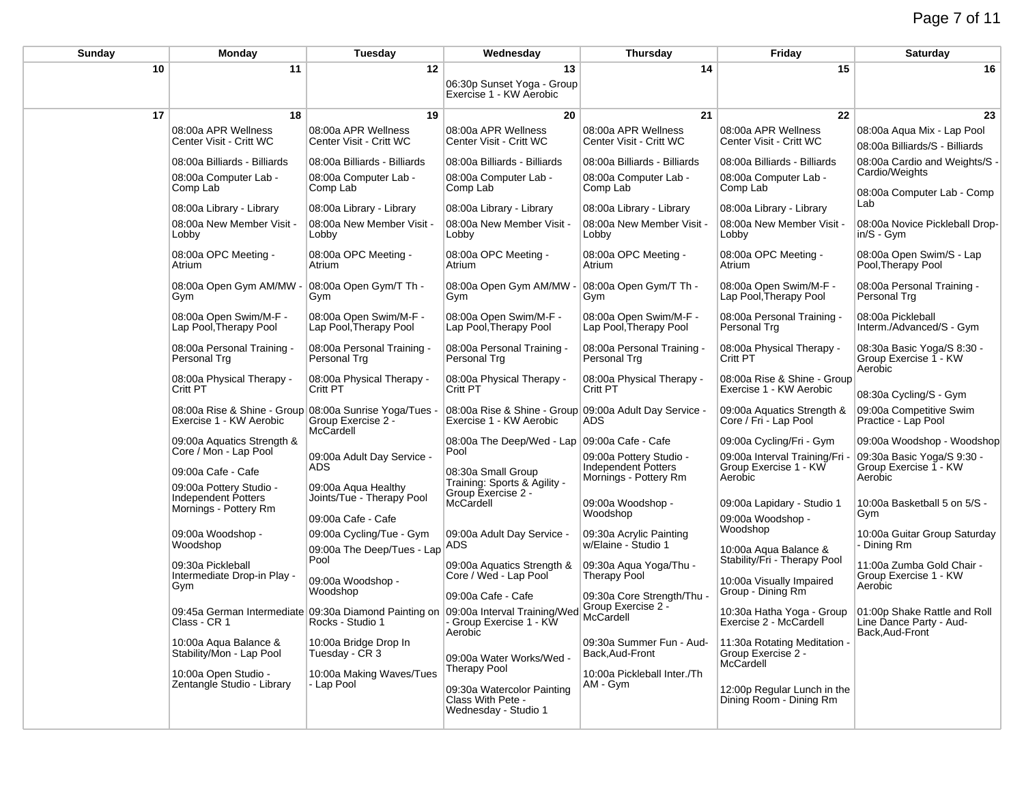| Sunday | Monday                                                                                                                                                                                                                                                                                                                                                                                                                                      | Tuesday                                                                                                                                                                                                                                                                                                                                                                                                       | Wednesday                                                                                                                                                                                                                                                                                                                                                                                                                                   | <b>Thursday</b>                                                                                                                                                                                                                                                                                                                                                       | Friday                                                                                                                                                                                                                                                                                                                                                                                                                                                    | Saturday                                                                                                                                                                                                                                                                                                                                                                                                                                  |
|--------|---------------------------------------------------------------------------------------------------------------------------------------------------------------------------------------------------------------------------------------------------------------------------------------------------------------------------------------------------------------------------------------------------------------------------------------------|---------------------------------------------------------------------------------------------------------------------------------------------------------------------------------------------------------------------------------------------------------------------------------------------------------------------------------------------------------------------------------------------------------------|---------------------------------------------------------------------------------------------------------------------------------------------------------------------------------------------------------------------------------------------------------------------------------------------------------------------------------------------------------------------------------------------------------------------------------------------|-----------------------------------------------------------------------------------------------------------------------------------------------------------------------------------------------------------------------------------------------------------------------------------------------------------------------------------------------------------------------|-----------------------------------------------------------------------------------------------------------------------------------------------------------------------------------------------------------------------------------------------------------------------------------------------------------------------------------------------------------------------------------------------------------------------------------------------------------|-------------------------------------------------------------------------------------------------------------------------------------------------------------------------------------------------------------------------------------------------------------------------------------------------------------------------------------------------------------------------------------------------------------------------------------------|
| 10     | 11                                                                                                                                                                                                                                                                                                                                                                                                                                          | 12                                                                                                                                                                                                                                                                                                                                                                                                            | 13<br>06:30p Sunset Yoga - Group<br>Exercise 1 - KW Aerobic                                                                                                                                                                                                                                                                                                                                                                                 | 14                                                                                                                                                                                                                                                                                                                                                                    | 15                                                                                                                                                                                                                                                                                                                                                                                                                                                        | 16                                                                                                                                                                                                                                                                                                                                                                                                                                        |
|        |                                                                                                                                                                                                                                                                                                                                                                                                                                             |                                                                                                                                                                                                                                                                                                                                                                                                               |                                                                                                                                                                                                                                                                                                                                                                                                                                             |                                                                                                                                                                                                                                                                                                                                                                       |                                                                                                                                                                                                                                                                                                                                                                                                                                                           |                                                                                                                                                                                                                                                                                                                                                                                                                                           |
|        | 08:00a APR Wellness<br>Center Visit - Critt WC                                                                                                                                                                                                                                                                                                                                                                                              | 08:00a APR Wellness<br>Center Visit - Critt WC                                                                                                                                                                                                                                                                                                                                                                | 08:00a APR Wellness<br>Center Visit - Critt WC                                                                                                                                                                                                                                                                                                                                                                                              | 08:00a APR Wellness<br>Center Visit - Critt WC                                                                                                                                                                                                                                                                                                                        | 08:00a APR Wellness<br>Center Visit - Critt WC                                                                                                                                                                                                                                                                                                                                                                                                            | 08:00a Aqua Mix - Lap Pool<br>08:00a Billiards/S - Billiards                                                                                                                                                                                                                                                                                                                                                                              |
| 17     | 18<br>08:00a Billiards - Billiards<br>08:00a Computer Lab -<br>Comp Lab<br>08:00a Library - Library<br>08:00a New Member Visit -<br>Lobby<br>08:00a OPC Meeting -<br>Atrium<br>08:00a Open Gym AM/MW<br>Gym<br>08:00a Open Swim/M-F -<br>Lap Pool, Therapy Pool<br>08:00a Personal Training -<br>Personal Trg<br>08:00a Physical Therapy -<br>Critt PT<br>08:00a Rise & Shine - Group 08:00a Sunrise Yoga/Tues -<br>Exercise 1 - KW Aerobic | 19<br>08:00a Billiards - Billiards<br>08:00a Computer Lab -<br>Comp Lab<br>08:00a Library - Library<br>08:00a New Member Visit -<br>Lobby<br>08:00a OPC Meeting -<br>Atrium<br>08:00a Open Gym/T Th -<br>Gym<br>08:00a Open Swim/M-F -<br>Lap Pool, Therapy Pool<br>08:00a Personal Training -<br>Personal Trg<br>08:00a Physical Therapy -<br>Critt PT<br>Group Exercise 2 -<br>McCardell                    | 20<br>08:00a Billiards - Billiards<br>08:00a Computer Lab -<br>Comp Lab<br>08:00a Library - Library<br>08:00a New Member Visit -<br>Lobby<br>08:00a OPC Meeting -<br>Atrium<br>08:00a Open Gym AM/MW<br>Gym<br>08:00a Open Swim/M-F -<br>Lap Pool, Therapy Pool<br>08:00a Personal Training -<br>Personal Trg<br>08:00a Physical Therapy -<br>Critt PT<br>08:00a Rise & Shine - Group 09:00a Adult Day Service -<br>Exercise 1 - KW Aerobic | 21<br>08:00a Billiards - Billiards<br>08:00a Computer Lab -<br>Comp Lab<br>08:00a Library - Library<br>08:00a New Member Visit -<br>Lobby<br>08:00a OPC Meeting -<br>Atrium<br>08:00a Open Gym/T Th -<br>Gym<br>08:00a Open Swim/M-F -<br>Lap Pool, Therapy Pool<br>08:00a Personal Training -<br>Personal Trg<br>08:00a Physical Therapy -<br>Critt PT<br><b>ADS</b> | 22<br>08:00a Billiards - Billiards<br>08:00a Computer Lab -<br>Comp Lab<br>08:00a Library - Library<br>08:00a New Member Visit -<br>Lobby<br>08:00a OPC Meeting -<br>Atrium<br>08:00a Open Swim/M-F -<br>Lap Pool, Therapy Pool<br>08:00a Personal Training -<br>Personal Trg<br>08:00a Physical Therapy -<br>Critt PT<br>08:00a Rise & Shine - Group<br>Exercise 1 - KW Aerobic<br>09:00a Aquatics Strength &<br>Core / Fri - Lap Pool                   | 23<br>08:00a Cardio and Weights/S -<br>Cardio/Weights<br>08:00a Computer Lab - Comp<br>Lab<br>08:00a Novice Pickleball Drop-<br>in/S - Gym<br>08:00a Open Swim/S - Lap<br>Pool, Therapy Pool<br>08:00a Personal Training -<br>Personal Trg<br>08:00a Pickleball<br>Interm./Advanced/S - Gym<br>08:30a Basic Yoga/S 8:30 -<br>Group Exercise 1 - KW<br>Aerobic<br>08:30a Cycling/S - Gym<br>09:00a Competitive Swim<br>Practice - Lap Pool |
|        | 09:00a Aquatics Strength &<br>Core / Mon - Lap Pool<br>09:00a Cafe - Cafe<br>09:00a Pottery Studio -<br>Independent Potters<br>Mornings - Pottery Rm<br>09:00a Woodshop -<br>Woodshop<br>09:30a Pickleball<br>Intermediate Drop-in Play -<br>Gym<br>Class - CR 1<br>10:00a Agua Balance &<br>Stability/Mon - Lap Pool<br>10:00a Open Studio -<br>Zentangle Studio - Library                                                                 | 09:00a Adult Day Service -<br>ADS<br>09:00a Aqua Healthy<br>Joints/Tue - Therapy Pool<br>09:00a Cafe - Cafe<br>09:00a Cycling/Tue - Gym<br>09:00a The Deep/Tues - Lap<br>Pool<br>09:00a Woodshop -<br>Woodshop<br>09:45a German Intermediate 09:30a Diamond Painting on 09:00a Interval Training/Wed<br>Rocks - Studio 1<br>10:00a Bridge Drop In<br>Tuesday - CR 3<br>10:00a Making Waves/Tues<br>- Lap Pool | 08:00a The Deep/Wed - Lap 09:00a Cafe - Cafe<br>Pool<br>08:30a Small Group<br>Training: Sports & Agility -<br>Group Exercise 2 -<br>McCardell<br>09:00a Adult Day Service -<br>ADS<br>09:00a Aquatics Strength &<br>Core / Wed - Lap Pool<br>09:00a Cafe - Cafe<br>- Group Exercise 1 - KW<br>Aerobic<br>09:00a Water Works/Wed -<br><b>Therapy Pool</b><br>09:30a Watercolor Painting<br>Class With Pete -<br>Wednesday - Studio 1         | 09:00a Pottery Studio -<br>Independent Potters<br>Mornings - Pottery Rm<br>09:00a Woodshop -<br>Woodshop<br>09:30a Acrylic Painting<br>w/Elaine - Studio 1<br>09:30a Aqua Yoga/Thu -<br>Therapy Pool<br>09:30a Core Strength/Thu<br>Group Exercise 2 -<br>McCardell<br>09:30a Summer Fun - Aud-<br>Back, Aud-Front<br>10:00a Pickleball Inter./Th<br>AM - Gym         | 09:00a Cycling/Fri - Gym<br>09:00a Interval Training/Fri<br>Group Exercise 1 - KW<br>Aerobic<br>09:00a Lapidary - Studio 1<br>09:00a Woodshop -<br>Woodshop<br>10:00a Aqua Balance &<br>Stability/Fri - Therapy Pool<br>10:00a Visually Impaired<br>Group - Dining Rm<br>10:30a Hatha Yoga - Group<br>Exercise 2 - McCardell<br>11:30a Rotating Meditation -<br>Group Exercise 2 -<br>McCardell<br>12:00p Regular Lunch in the<br>Dining Room - Dining Rm | 09:00a Woodshop - Woodshop<br>09:30a Basic Yoga/S 9:30 -<br>Group Exercise 1 - KW<br>Aerobic<br>10:00a Basketball 5 on 5/S -<br>Gym<br>10:00a Guitar Group Saturday<br>- Dining Rm<br>11:00a Zumba Gold Chair -<br>Group Exercise 1 - KW<br>Aerobic<br>01:00p Shake Rattle and Roll<br>Line Dance Party - Aud-<br>Back, Aud-Front                                                                                                         |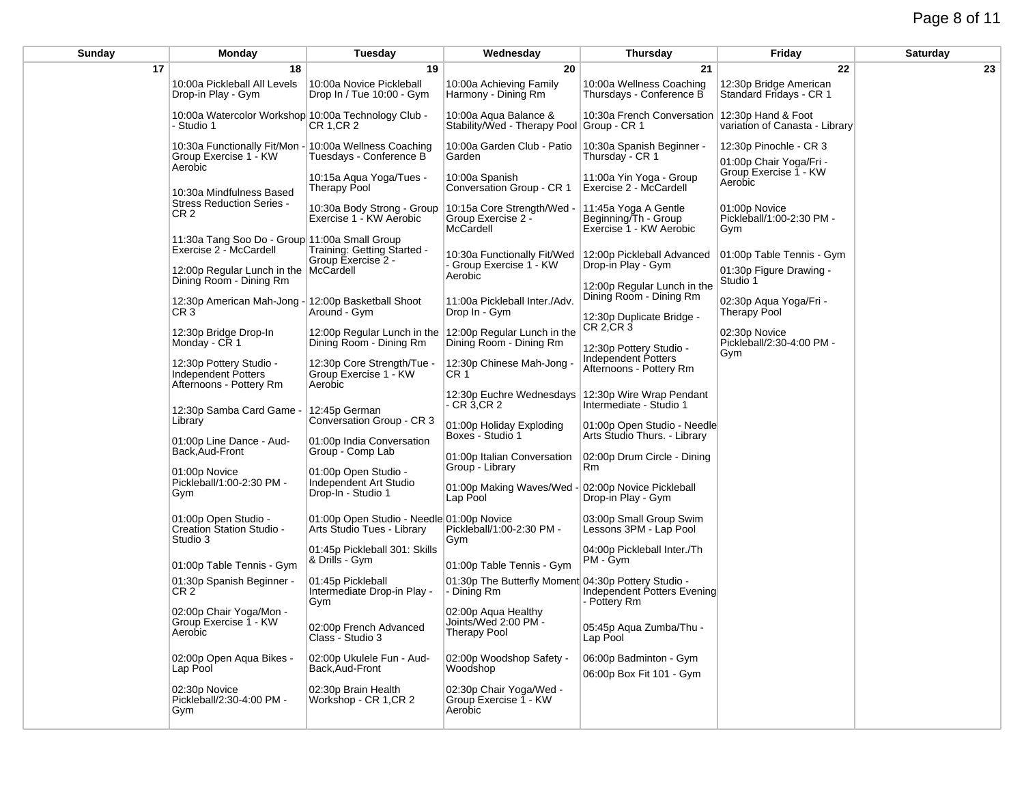| Sunday | Monday                                                                                     | Tuesday                                                                                                  | Wednesday                                                          | <b>Thursday</b>                                                                  | Friday                                               | <b>Saturday</b> |
|--------|--------------------------------------------------------------------------------------------|----------------------------------------------------------------------------------------------------------|--------------------------------------------------------------------|----------------------------------------------------------------------------------|------------------------------------------------------|-----------------|
| 17     | 18                                                                                         | 19                                                                                                       | 20                                                                 | 21                                                                               | 22                                                   | 23              |
|        | 10:00a Pickleball All Levels<br>Drop-in Play - Gym                                         | 10:00a Novice Pickleball<br>Drop In / Tue 10:00 - Gym                                                    | 10:00a Achieving Family<br>Harmony - Dining Rm                     | 10:00a Wellness Coaching<br>Thursdays - Conference B                             | 12:30p Bridge American<br>Standard Fridays - CR 1    |                 |
|        | 10:00a Watercolor Workshop 10:00a Technology Club -<br>- Studio 1                          | CR 1, CR 2                                                                                               | 10:00a Aqua Balance &<br>Stability/Wed - Therapy Pool Group - CR 1 | 10:30a French Conversation                                                       | 12:30p Hand & Foot<br>variation of Canasta - Library |                 |
|        | 10:30a Functionally Fit/Mon - 10:00a Wellness Coaching<br>Group Exercise 1 - KW<br>Aerobic | Tuesdays - Conference B                                                                                  | 10:00a Garden Club - Patio<br>Garden                               | 10:30a Spanish Beginner -<br>Thursday - CR 1                                     | 12:30p Pinochle - CR 3<br>01:00p Chair Yoga/Fri -    |                 |
|        | 10:30a Mindfulness Based                                                                   | 10:15a Aqua Yoga/Tues -<br>Therapy Pool                                                                  | 10:00a Spanish<br>Conversation Group - CR 1                        | 11:00a Yin Yoga - Group<br>Exercise 2 - McCardell                                | Group Exercise 1 - KW<br>Aerobic                     |                 |
|        | <b>Stress Reduction Series -</b><br>CR 2                                                   | 10:30a Body Strong - Group<br>Exercise 1 - KW Aerobic                                                    | 10:15a Core Strength/Wed<br>Group Exercise 2 -<br>McCardell        | 11:45a Yoga A Gentle<br>Beginning/Th - Group<br>Exercise 1 - KW Aerobic          | 01:00p Novice<br>Pickleball/1:00-2:30 PM -<br>Gym    |                 |
|        | 11:30a Tang Soo Do - Group 11:00a Small Group<br>Exercise 2 - McCardell                    | Training: Getting Started -<br>Group Exercise 2 -                                                        | 10:30a Functionally Fit/Wed                                        | 12:00p Pickleball Advanced                                                       | 01:00p Table Tennis - Gym                            |                 |
|        | 12:00p Regular Lunch in the McCardell<br>Dining Room - Dining Rm                           |                                                                                                          | - Group Exercise 1 - KW<br>Aerobic                                 | Drop-in Play - Gym<br>12:00p Regular Lunch in the                                | 01:30p Figure Drawing -<br>Studio 1                  |                 |
|        | 12:30p American Mah-Jong - 12:00p Basketball Shoot<br>CR 3                                 | Around - Gym                                                                                             | 11:00a Pickleball Inter./Adv.<br>Drop In - Gym                     | Dining Room - Dining Rm<br>12:30p Duplicate Bridge -                             | 02:30p Aqua Yoga/Fri -<br><b>Therapy Pool</b>        |                 |
|        | 12:30p Bridge Drop-In<br>Monday - CR 1                                                     | 12:00p Regular Lunch in the<br>Dining Room - Dining Rm                                                   | 12:00p Regular Lunch in the<br>Dining Room - Dining Rm             | CR 2, CR 3<br>12:30p Pottery Studio -<br>Independent Potters                     | 02:30p Novice<br>Pickleball/2:30-4:00 PM -<br>Gym    |                 |
|        | 12:30p Pottery Studio -<br>Independent Potters<br>Afternoons - Pottery Rm                  | 12:30p Core Strength/Tue -<br>Group Exercise 1 - KW<br>Aerobic                                           | 12:30p Chinese Mah-Jong<br>CR 1                                    | Afternoons - Pottery Rm                                                          |                                                      |                 |
|        | 12:30p Samba Card Game -<br>Library                                                        | 12:45p German<br>Conversation Group - CR 3                                                               | 12:30p Euchre Wednesdays<br>$-CR3$ , $CR2$                         | 12:30p Wire Wrap Pendant<br>Intermediate - Studio 1                              |                                                      |                 |
|        | 01:00p Line Dance - Aud-<br>Back, Aud-Front                                                | 01:00p India Conversation<br>Group - Comp Lab                                                            | 01:00p Holiday Exploding<br>Boxes - Studio 1                       | 01:00p Open Studio - Needle<br>Arts Studio Thurs. - Library                      |                                                      |                 |
|        | 01:00p Novice<br>Pickleball/1:00-2:30 PM -                                                 | 01:00p Open Studio -<br><b>Independent Art Studio</b>                                                    | 01:00p Italian Conversation<br>Group - Library                     | 02:00p Drum Circle - Dining<br>Rm                                                |                                                      |                 |
|        | Gym                                                                                        | Drop-In - Studio 1                                                                                       | 01:00p Making Waves/Wed<br>Lap Pool                                | 02:00p Novice Pickleball<br>Drop-in Play - Gym                                   |                                                      |                 |
|        | 01:00p Open Studio -<br>Creation Station Studio -<br>Studio 3                              | 01:00p Open Studio - Needle 01:00p Novice<br>Arts Studio Tues - Library<br>01:45p Pickleball 301: Skills | Pickleball/1:00-2:30 PM -<br>Gym                                   | 03:00p Small Group Swim<br>Lessons 3PM - Lap Pool<br>04:00p Pickleball Inter./Th |                                                      |                 |
|        | 01:00p Table Tennis - Gym                                                                  | & Drills - Gym                                                                                           | 01:00p Table Tennis - Gym                                          | PM - Gym                                                                         |                                                      |                 |
|        | 01:30p Spanish Beginner -<br>CR 2                                                          | 01:45p Pickleball<br>Intermediate Drop-in Play -<br>Gym                                                  | 01:30p The Butterfly Moment 04:30p Pottery Studio -<br>- Dining Rm | Independent Potters Evening<br>- Pottery Rm                                      |                                                      |                 |
|        | 02:00p Chair Yoga/Mon -<br>Group Exercise 1 - KW<br>Aerobic                                | 02:00p French Advanced<br>Class - Studio 3                                                               | 02:00p Aqua Healthy<br>Joints/Wed 2:00 PM -<br>Therapy Pool        | 05:45p Aqua Zumba/Thu -<br>Lap Pool                                              |                                                      |                 |
|        | 02:00p Open Aqua Bikes -<br>Lap Pool                                                       | 02:00p Ukulele Fun - Aud-<br>Back, Aud-Front                                                             | 02:00p Woodshop Safety -<br>Woodshop                               | 06:00p Badminton - Gym<br>06:00p Box Fit 101 - Gym                               |                                                      |                 |
|        | 02:30p Novice<br>Pickleball/2:30-4:00 PM -<br>Gym                                          | 02:30p Brain Health<br>Workshop - CR 1, CR 2                                                             | 02:30p Chair Yoga/Wed -<br>Group Exercise 1 - KW<br>Aerobic        |                                                                                  |                                                      |                 |
|        |                                                                                            |                                                                                                          |                                                                    |                                                                                  |                                                      |                 |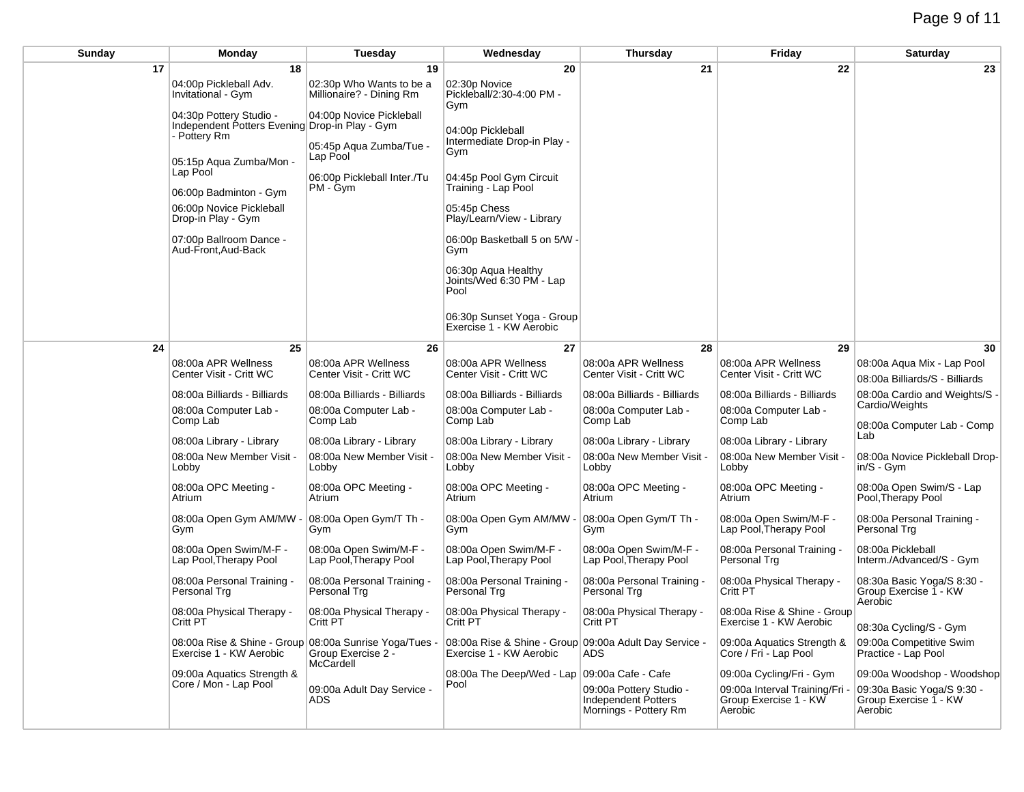| Sunday | Monday                                                                                                               | <b>Tuesday</b>                                                  | Wednesday                                                                         | Thursday                                                                | Friday                                                             | Saturday                                                       |
|--------|----------------------------------------------------------------------------------------------------------------------|-----------------------------------------------------------------|-----------------------------------------------------------------------------------|-------------------------------------------------------------------------|--------------------------------------------------------------------|----------------------------------------------------------------|
| 17     | 18                                                                                                                   | 19                                                              | 20                                                                                | 21                                                                      | 22                                                                 | 23                                                             |
|        | 04:00p Pickleball Adv.<br>Invitational - Gym                                                                         | 02:30p Who Wants to be a<br>Millionaire? - Dining Rm            | 02:30p Novice<br>Pickleball/2:30-4:00 PM -<br>Gym                                 |                                                                         |                                                                    |                                                                |
|        | 04:30p Pottery Studio -<br>Independent Potters Evening Drop-in Play - Gym<br>- Pottery Rm<br>05:15p Aqua Zumba/Mon - | 04:00p Novice Pickleball<br>05:45p Aqua Zumba/Tue -<br>Lap Pool | 04:00p Pickleball<br>Intermediate Drop-in Play -<br>Gym                           |                                                                         |                                                                    |                                                                |
|        | Lap Pool<br>06:00p Badminton - Gym                                                                                   | 06:00p Pickleball Inter./Tu<br>PM - Gym                         | 04:45p Pool Gym Circuit<br>Training - Lap Pool                                    |                                                                         |                                                                    |                                                                |
|        | 06:00p Novice Pickleball<br>Drop-in Play - Gym                                                                       |                                                                 | 05:45p Chess<br>Play/Learn/View - Library                                         |                                                                         |                                                                    |                                                                |
|        | 07:00p Ballroom Dance -<br>Aud-Front, Aud-Back                                                                       |                                                                 | 06:00p Basketball 5 on 5/W -<br>Gym                                               |                                                                         |                                                                    |                                                                |
|        |                                                                                                                      |                                                                 | 06:30p Aqua Healthy<br>Joints/Wed 6:30 PM - Lap<br>Pool                           |                                                                         |                                                                    |                                                                |
|        |                                                                                                                      |                                                                 | 06:30p Sunset Yoga - Group<br>Exercise 1 - KW Aerobic                             |                                                                         |                                                                    |                                                                |
| 24     | 25                                                                                                                   | 26                                                              | 27                                                                                | 28                                                                      | 29                                                                 | 30                                                             |
|        | 08:00a APR Wellness<br>Center Visit - Critt WC                                                                       | 08:00a APR Wellness<br>Center Visit - Critt WC                  | 08:00a APR Wellness<br>Center Visit - Critt WC                                    | 08:00a APR Wellness<br>Center Visit - Critt WC                          | 08:00a APR Wellness<br>Center Visit - Critt WC                     | 08:00a Aqua Mix - Lap Pool<br>08:00a Billiards/S - Billiards   |
|        | 08:00a Billiards - Billiards                                                                                         | 08:00a Billiards - Billiards                                    | 08:00a Billiards - Billiards                                                      | 08:00a Billiards - Billiards                                            | 08:00a Billiards - Billiards                                       | 08:00a Cardio and Weights/S -                                  |
|        | 08:00a Computer Lab -<br>Comp Lab                                                                                    | 08:00a Computer Lab -<br>Comp Lab                               | 08:00a Computer Lab -<br>Comp Lab                                                 | 08:00a Computer Lab -<br>Comp Lab                                       | 08:00a Computer Lab -<br>Comp Lab                                  | Cardio/Weights<br>08:00a Computer Lab - Comp                   |
|        | 08:00a Library - Library                                                                                             | 08:00a Library - Library                                        | 08:00a Library - Library                                                          | 08:00a Library - Library                                                | 08:00a Library - Library                                           | Lab                                                            |
|        | 08:00a New Member Visit -<br>Lobby                                                                                   | 08:00a New Member Visit -<br>Lobby                              | 08:00a New Member Visit -<br>Lobby                                                | 08:00a New Member Visit -<br>Lobby                                      | 08:00a New Member Visit -<br>Lobby                                 | 08:00a Novice Pickleball Drop-<br>in/S - Gym                   |
|        | 08:00a OPC Meeting -<br>Atrium                                                                                       | 08:00a OPC Meeting -<br>Atrium                                  | 08:00a OPC Meeting -<br>Atrium                                                    | 08:00a OPC Meeting -<br>Atrium                                          | 08:00a OPC Meeting -<br>Atrium                                     | 08:00a Open Swim/S - Lap<br>Pool, Therapy Pool                 |
|        | 08:00a Open Gym AM/MW -<br>Gym                                                                                       | 08:00a Open Gym/T Th -<br>Gym                                   | 08:00a Open Gym AM/MW -<br>Gym                                                    | 08:00a Open Gym/T Th -<br>Gym                                           | 08:00a Open Swim/M-F -<br>Lap Pool, Therapy Pool                   | 08:00a Personal Training -<br>Personal Trg                     |
|        | 08:00a Open Swim/M-F -<br>Lap Pool, Therapy Pool                                                                     | 08:00a Open Swim/M-F -<br>Lap Pool, Therapy Pool                | 08:00a Open Swim/M-F -<br>Lap Pool, Therapy Pool                                  | 08:00a Open Swim/M-F -<br>Lap Pool, Therapy Pool                        | 08:00a Personal Training -<br>Personal Trg                         | 08:00a Pickleball<br>Interm./Advanced/S - Gym                  |
|        | 08:00a Personal Training -<br>Personal Trg                                                                           | 08:00a Personal Training -<br>Personal Trg                      | 08:00a Personal Training -<br>Personal Trg                                        | 08:00a Personal Training -<br>Personal Trg                              | 08:00a Physical Therapy -<br>Critt PT                              | 08:30a Basic Yoga/S 8:30 -<br>Group Exercise 1 - KW<br>Aerobic |
|        | 08:00a Physical Therapy -<br>Critt PT                                                                                | 08:00a Physical Therapy -<br>Critt PT                           | 08:00a Physical Therapy -<br>Critt PT                                             | 08:00a Physical Therapy -<br>Critt PT                                   | 08:00a Rise & Shine - Group<br>Exercise 1 - KW Aerobic             | 08:30a Cycling/S - Gym                                         |
|        | 08:00a Rise & Shine - Group 08:00a Sunrise Yoga/Tues -<br>Exercise 1 - KW Aerobic                                    | Group Exercise 2 -<br>McCardell                                 | 08:00a Rise & Shine - Group 09:00a Adult Day Service -<br>Exercise 1 - KW Aerobic | ADS.                                                                    | 09:00a Aquatics Strength &<br>Core / Fri - Lap Pool                | 09:00a Competitive Swim<br>Practice - Lap Pool                 |
|        | 09:00a Aquatics Strength &                                                                                           |                                                                 | 08:00a The Deep/Wed - Lap 09:00a Cafe - Cafe                                      |                                                                         | 09:00a Cycling/Fri - Gym                                           | 09:00a Woodshop - Woodshop                                     |
|        | Core / Mon - Lap Pool                                                                                                | 09:00a Adult Day Service -<br>ADS.                              | Pool                                                                              | 09:00a Pottery Studio -<br>Independent Potters<br>Mornings - Pottery Rm | 09:00a Interval Training/Fri -<br>Group Exercise 1 - KW<br>Aerobic | 09:30a Basic Yoga/S 9:30 -<br>Group Exercise 1 - KW<br>Aerobic |
|        |                                                                                                                      |                                                                 |                                                                                   |                                                                         |                                                                    |                                                                |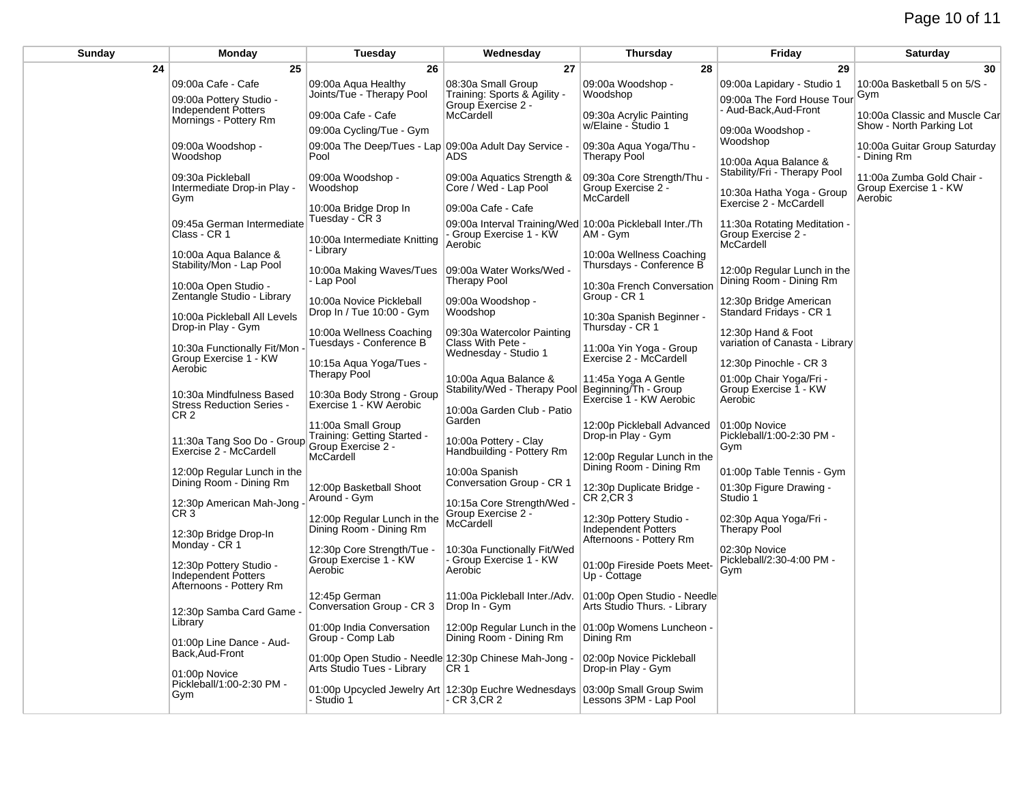## Page 10 of 11

| Sunday | Monday                                                                           | <b>Tuesday</b>                                                            | Wednesday                                                                           | <b>Thursday</b>                                                         | Friday                                                      | Saturday                                                      |
|--------|----------------------------------------------------------------------------------|---------------------------------------------------------------------------|-------------------------------------------------------------------------------------|-------------------------------------------------------------------------|-------------------------------------------------------------|---------------------------------------------------------------|
| 24     | 25                                                                               | 26                                                                        | 27                                                                                  | 28                                                                      | 29                                                          | 30                                                            |
|        | 09:00a Cafe - Cafe<br>09:00a Pottery Studio -                                    | 09:00a Agua Healthy<br>Joints/Tue - Therapy Pool                          | 08:30a Small Group<br>Training: Sports & Agility -<br>Group Exercise 2 -            | 09:00a Woodshop -<br>Woodshop                                           | 09:00a Lapidary - Studio 1<br>09:00a The Ford House Tour    | 10:00a Basketball 5 on 5/S -<br>Gym                           |
|        | <b>Independent Potters</b>                                                       | 09:00a Cafe - Cafe                                                        | McCardell                                                                           | 09:30a Acrylic Painting                                                 | - Aud-Back, Aud-Front                                       | 10:00a Classic and Muscle Car                                 |
|        | Mornings - Pottery Rm                                                            | 09:00a Cycling/Tue - Gym                                                  |                                                                                     | w/Elaine - Studio 1                                                     | 09:00a Woodshop -                                           | Show - North Parking Lot                                      |
|        | 09:00a Woodshop -<br>Woodshop                                                    | 09:00a The Deep/Tues - Lap 09:00a Adult Day Service -<br>Pool             | <b>ADS</b>                                                                          | 09:30a Aqua Yoga/Thu -<br><b>Therapy Pool</b>                           | Woodshop<br>10:00a Aqua Balance &                           | 10:00a Guitar Group Saturday<br>- Dining Rm                   |
|        | 09:30a Pickleball<br>Intermediate Drop-in Play -                                 | 09:00a Woodshop -<br>Woodshop                                             | 09:00a Aquatics Strength &<br>Core / Wed - Lap Pool                                 | 09:30a Core Strength/Thu<br>Group Exercise 2 -<br>McCardell             | Stability/Fri - Therapy Pool<br>10:30a Hatha Yoga - Group   | 11:00a Zumba Gold Chair -<br>Group Exercise 1 - KW<br>Aerobic |
|        | Gym                                                                              | 10:00a Bridge Drop In                                                     | 09:00a Cafe - Cafe                                                                  |                                                                         | Exercise 2 - McCardell                                      |                                                               |
|        | 09:45a German Intermediate                                                       | Tuesday - CR 3                                                            | 09:00a Interval Training/Wed 10:00a Pickleball Inter./Th                            |                                                                         | 11:30a Rotating Meditation -                                |                                                               |
|        | Class - CR 1                                                                     | 10:00a Intermediate Knitting                                              | - Group Exercise 1 - KW<br>Aerobic                                                  | AM - Gym                                                                | Group Exercise 2 -<br>McCardell                             |                                                               |
|        | 10:00a Aqua Balance &                                                            | - Library                                                                 |                                                                                     | 10:00a Wellness Coaching                                                |                                                             |                                                               |
|        | Stability/Mon - Lap Pool                                                         | 10:00a Making Waves/Tues                                                  | 09:00a Water Works/Wed -                                                            | Thursdays - Conference B                                                | 12:00p Regular Lunch in the                                 |                                                               |
|        | 10:00a Open Studio -                                                             | - Lap Pool                                                                | <b>Therapy Pool</b>                                                                 | 10:30a French Conversation                                              | Dining Room - Dining Rm                                     |                                                               |
|        | Zentangle Studio - Library                                                       | 10:00a Novice Pickleball                                                  | 09:00a Woodshop -                                                                   | Group - CR 1                                                            | 12:30p Bridge American                                      |                                                               |
|        | 10:00a Pickleball All Levels                                                     | Drop In / Tue 10:00 - Gym                                                 | Woodshop                                                                            | 10:30a Spanish Beginner -                                               | Standard Fridays - CR 1                                     |                                                               |
|        | Drop-in Play - Gym                                                               | 10:00a Wellness Coaching                                                  | 09:30a Watercolor Painting                                                          | Thursday - CR 1                                                         | 12:30p Hand & Foot                                          |                                                               |
|        | 10:30a Functionally Fit/Mon                                                      | Tuesdays - Conference B                                                   | Class With Pete -                                                                   | 11:00a Yin Yoga - Group                                                 | variation of Canasta - Library                              |                                                               |
|        | Group Exercise 1 - KW<br>Aerobic                                                 | 10:15a Agua Yoga/Tues -<br><b>Therapy Pool</b>                            | Wednesday - Studio 1                                                                | Exercise 2 - McCardell                                                  | 12:30p Pinochle - CR 3                                      |                                                               |
|        | 10:30a Mindfulness Based<br><b>Stress Reduction Series -</b>                     | 10:30a Body Strong - Group<br>Exercise 1 - KW Aerobic                     | 10:00a Agua Balance &<br>Stability/Wed - Therapy Pool<br>10:00a Garden Club - Patio | 11:45a Yoga A Gentle<br>Beginning/Th - Group<br>Exercise 1 - KW Aerobic | 01:00p Chair Yoga/Fri -<br>Group Exercise 1 - KW<br>Aerobic |                                                               |
|        | CR 2                                                                             | 11:00a Small Group                                                        | Garden                                                                              | 12:00p Pickleball Advanced                                              | 01:00p Novice                                               |                                                               |
|        | 11:30a Tang Soo Do - Group Training: Getting Started -<br>Exercise 2 - McCardell |                                                                           | 10:00a Pottery - Clay<br>Handbuilding - Pottery Rm                                  | Drop-in Play - Gym                                                      | Pickleball/1:00-2:30 PM -<br>Gym                            |                                                               |
|        | Exercise 2 - McCardell                                                           | McCardell                                                                 |                                                                                     | 12:00p Regular Lunch in the                                             |                                                             |                                                               |
|        | 12:00p Regular Lunch in the                                                      |                                                                           | 10:00a Spanish                                                                      | Dining Room - Dining Rm                                                 | 01:00p Table Tennis - Gym                                   |                                                               |
|        | Dining Room - Dining Rm                                                          | 12:00p Basketball Shoot                                                   | Conversation Group - CR 1                                                           | 12:30p Duplicate Bridge -                                               | 01:30p Figure Drawing -                                     |                                                               |
|        | 12:30p American Mah-Jong                                                         | Around - Gym                                                              | 10:15a Core Strength/Wed -                                                          | CR 2, CR 3                                                              | Studio 1                                                    |                                                               |
|        | CR 3                                                                             | 12:00p Regular Lunch in the                                               | Group Exercise 2 -<br>McCardell                                                     | 12:30p Pottery Studio -                                                 | 02:30p Aqua Yoga/Fri -                                      |                                                               |
|        | 12:30p Bridge Drop-In                                                            | Dining Room - Dining Rm                                                   |                                                                                     | Independent Potters<br>Afternoons - Pottery Rm                          | <b>Therapy Pool</b>                                         |                                                               |
|        | Monday - CR 1                                                                    | 12:30p Core Strength/Tue -                                                | 10:30a Functionally Fit/Wed                                                         |                                                                         | 02:30p Novice                                               |                                                               |
|        | 12:30p Pottery Studio -<br>Independent Potters                                   | Group Exercise 1 - KW<br>Aerobic                                          | - Group Exercise 1 - KW<br>Aerobic                                                  | 01:00p Fireside Poets Meet-<br>Up - Cottage                             | Pickleball/2:30-4:00 PM -<br>Gym                            |                                                               |
|        | Afternoons - Pottery Rm                                                          | 12:45p German<br>Conversation Group - CR 3                                | 11:00a Pickleball Inter./Adv.<br>Drop In - Gym                                      | 01:00p Open Studio - Needle<br>Arts Studio Thurs. - Library             |                                                             |                                                               |
|        | 12:30p Samba Card Game<br>Library                                                |                                                                           |                                                                                     |                                                                         |                                                             |                                                               |
|        |                                                                                  | 01:00p India Conversation                                                 | 12:00p Regular Lunch in the 01:00p Womens Luncheon -                                |                                                                         |                                                             |                                                               |
|        | 01:00p Line Dance - Aud-<br>Back, Aud-Front                                      | Group - Comp Lab<br>01:00p Open Studio - Needle 12:30p Chinese Mah-Jong - | Dining Room - Dining Rm                                                             | Dining Rm<br>02:00p Novice Pickleball                                   |                                                             |                                                               |
|        | 01:00p Novice                                                                    | Arts Studio Tues - Library                                                | CR <sub>1</sub>                                                                     | Drop-in Play - Gym                                                      |                                                             |                                                               |
|        | Pickleball/1:00-2:30 PM -<br>Gym                                                 | 01:00p Upcycled Jewelry Art 12:30p Euchre Wednesdays<br>- Studio 1        | - CR 3,CR 2                                                                         | 03:00p Small Group Swim<br>Lessons 3PM - Lap Pool                       |                                                             |                                                               |
|        |                                                                                  |                                                                           |                                                                                     |                                                                         |                                                             |                                                               |